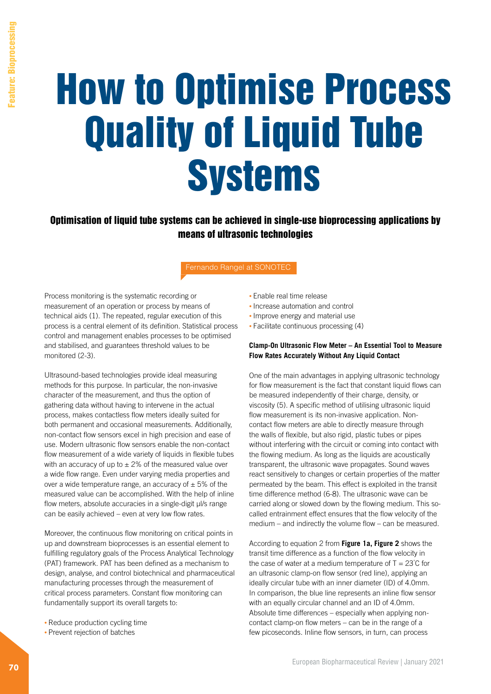# How to Optimise Process Quality of Liquid Tube Systems

Optimisation of liquid tube systems can be achieved in single-use bioprocessing applications by means of ultrasonic technologies

Fernando Rangel at SONOTEC

Process monitoring is the systematic recording or measurement of an operation or process by means of technical aids (1). The repeated, regular execution of this process is a central element of its definition. Statistical process control and management enables processes to be optimised and stabilised, and guarantees threshold values to be monitored (2-3).

Ultrasound-based technologies provide ideal measuring methods for this purpose. In particular, the non-invasive character of the measurement, and thus the option of gathering data without having to intervene in the actual process, makes contactless flow meters ideally suited for both permanent and occasional measurements. Additionally, non-contact flow sensors excel in high precision and ease of use. Modern ultrasonic flow sensors enable the non-contact flow measurement of a wide variety of liquids in flexible tubes with an accuracy of up to  $\pm 2\%$  of the measured value over a wide flow range. Even under varying media properties and over a wide temperature range, an accuracy of  $\pm$  5% of the measured value can be accomplished. With the help of inline flow meters, absolute accuracies in a single-digit μl/s range can be easily achieved – even at very low flow rates.

Moreover, the continuous flow monitoring on critical points in up and downstream bioprocesses is an essential element to fulfilling regulatory goals of the Process Analytical Technology (PAT) framework. PAT has been defined as a mechanism to design, analyse, and control biotechnical and pharmaceutical manufacturing processes through the measurement of critical process parameters. Constant flow monitoring can fundamentally support its overall targets to:

- Reduce production cycling time
- Prevent rejection of batches
- Enable real time release
- Increase automation and control
- Improve energy and material use
- Facilitate continuous processing (4)

#### **Clamp-On Ultrasonic Flow Meter – An Essential Tool to Measure Flow Rates Accurately Without Any Liquid Contact**

One of the main advantages in applying ultrasonic technology for flow measurement is the fact that constant liquid flows can be measured independently of their charge, density, or viscosity (5). A specific method of utilising ultrasonic liquid flow measurement is its non-invasive application. Noncontact flow meters are able to directly measure through the walls of flexible, but also rigid, plastic tubes or pipes without interfering with the circuit or coming into contact with the flowing medium. As long as the liquids are acoustically transparent, the ultrasonic wave propagates. Sound waves react sensitively to changes or certain properties of the matter permeated by the beam. This effect is exploited in the transit time difference method (6-8). The ultrasonic wave can be carried along or slowed down by the flowing medium. This socalled entrainment effect ensures that the flow velocity of the medium – and indirectly the volume flow – can be measured.

According to equation 2 from **Figure 1a, Figure 2** shows the transit time difference as a function of the flow velocity in the case of water at a medium temperature of  $T = 23^{\circ}$ C for an ultrasonic clamp-on flow sensor (red line), applying an ideally circular tube with an inner diameter (ID) of 4.0mm. In comparison, the blue line represents an inline flow sensor with an equally circular channel and an ID of 4.0mm. Absolute time differences – especially when applying noncontact clamp-on flow meters – can be in the range of a few picoseconds. Inline flow sensors, in turn, can process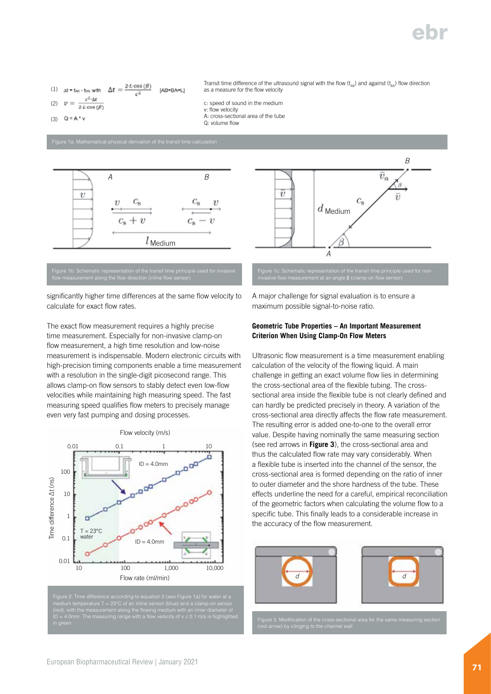## I'M

(1) 
$$
\Delta t = t_{AB} - t_{BA}
$$
 with  $\Delta t = \frac{2 \cdot L \cdot \cos(\beta)}{c^2}$  [AB=BA=L]

$$
(2) \quad v = \frac{e^{c \cdot \Delta t}}{2 \cdot L \cos(\theta)}
$$

$$
(3) \quad Q = A * v
$$

Figure 1a: Mathematical-physical derivation of the transit time calculation



### Figure 1b: Schematic representation of the transit time principle used for invasive

significantly higher time differences at the same flow velocity to calculate for exact flow rates.

The exact flow measurement requires a highly precise time measurement. Especially for non-invasive clamp-on flow measurement, a high time resolution and low-noise measurement is indispensable. Modern electronic circuits with high-precision timing components enable a time measurement with a resolution in the single-digit picosecond range. This allows clamp-on flow sensors to stably detect even low-flow velocities while maintaining high measuring speed. The fast measuring speed qualifies flow meters to precisely manage even very fast pumping and dosing processes.





Transit time difference of the ultrasound signal with the flow  $(t_{A}$ ) and against  $(t_{BA})$  flow direction

as a measure for the flow velocity c: speed of sound in the medium

A: cross-sectional area of the tube

v: flow velocity

Q: volume flow

A major challenge for signal evaluation is to ensure a maximum possible signal-to-noise ratio.

#### **Geometric Tube Properties – An Important Measurement Criterion When Using Clamp-On Flow Meters**

Ultrasonic flow measurement is a time measurement enabling calculation of the velocity of the flowing liquid. A main challenge in getting an exact volume flow lies in determining the cross-sectional area of the flexible tubing. The crosssectional area inside the flexible tube is not clearly defined and can hardly be predicted precisely in theory. A variation of the cross-sectional area directly affects the flow rate measurement. The resulting error is added one-to-one to the overall error value. Despite having nominally the same measuring section (see red arrows in **Figure 3**), the cross-sectional area and thus the calculated flow rate may vary considerably. When a flexible tube is inserted into the channel of the sensor, the cross-sectional area is formed depending on the ratio of inner to outer diameter and the shore hardness of the tube. These effects underline the need for a careful, empirical reconciliation of the geometric factors when calculating the volume flow to a specific tube. This finally leads to a considerable increase in the accuracy of the flow measurement.